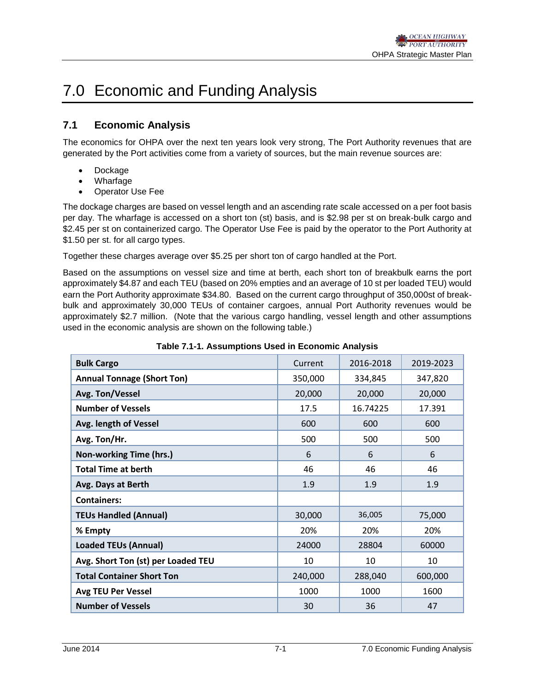# 7.0 Economic and Funding Analysis

# **7.1 Economic Analysis**

The economics for OHPA over the next ten years look very strong, The Port Authority revenues that are generated by the Port activities come from a variety of sources, but the main revenue sources are:

- **Dockage**
- Wharfage
- **Operator Use Fee**

The dockage charges are based on vessel length and an ascending rate scale accessed on a per foot basis per day. The wharfage is accessed on a short ton (st) basis, and is \$2.98 per st on break-bulk cargo and \$2.45 per st on containerized cargo. The Operator Use Fee is paid by the operator to the Port Authority at \$1.50 per st. for all cargo types.

Together these charges average over \$5.25 per short ton of cargo handled at the Port.

Based on the assumptions on vessel size and time at berth, each short ton of breakbulk earns the port approximately \$4.87 and each TEU (based on 20% empties and an average of 10 st per loaded TEU) would earn the Port Authority approximate \$34.80. Based on the current cargo throughput of 350,000st of breakbulk and approximately 30,000 TEUs of container cargoes, annual Port Authority revenues would be approximately \$2.7 million. (Note that the various cargo handling, vessel length and other assumptions used in the economic analysis are shown on the following table.)

| <b>Bulk Cargo</b>                  | Current | 2016-2018 | 2019-2023 |
|------------------------------------|---------|-----------|-----------|
| <b>Annual Tonnage (Short Ton)</b>  | 350,000 | 334,845   | 347,820   |
| Avg. Ton/Vessel                    | 20,000  | 20,000    | 20,000    |
| <b>Number of Vessels</b>           | 17.5    | 16.74225  | 17.391    |
| Avg. length of Vessel              | 600     | 600       | 600       |
| Avg. Ton/Hr.                       | 500     | 500       | 500       |
| Non-working Time (hrs.)            | 6       | 6         | 6         |
| <b>Total Time at berth</b>         | 46      | 46        | 46        |
| Avg. Days at Berth                 | 1.9     | 1.9       | 1.9       |
| <b>Containers:</b>                 |         |           |           |
| <b>TEUs Handled (Annual)</b>       | 30,000  | 36,005    | 75,000    |
| % Empty                            | 20%     | 20%       | 20%       |
| <b>Loaded TEUs (Annual)</b>        | 24000   | 28804     | 60000     |
| Avg. Short Ton (st) per Loaded TEU | 10      | 10        | 10        |
| <b>Total Container Short Ton</b>   | 240,000 | 288,040   | 600,000   |
| <b>Avg TEU Per Vessel</b>          | 1000    | 1000      | 1600      |
| <b>Number of Vessels</b>           | 30      | 36        | 47        |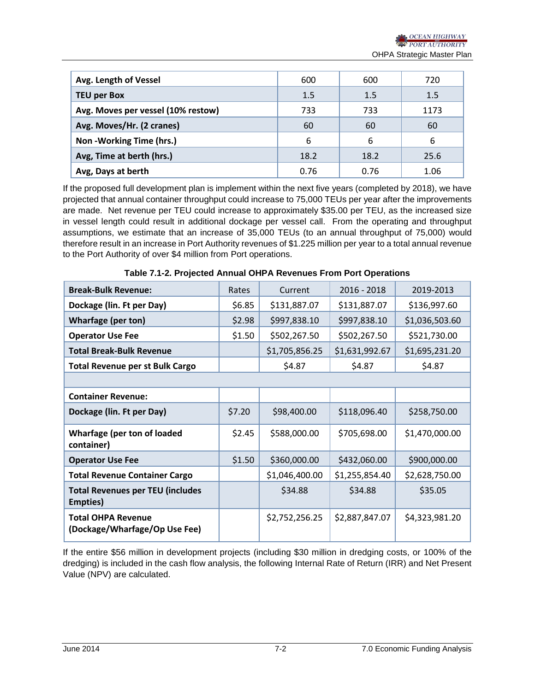| Avg. Length of Vessel              | 600  | 600  | 720  |
|------------------------------------|------|------|------|
| <b>TEU per Box</b>                 | 1.5  | 1.5  | 1.5  |
| Avg. Moves per vessel (10% restow) | 733  | 733  | 1173 |
| Avg. Moves/Hr. (2 cranes)          | 60   | 60   | 60   |
| Non - Working Time (hrs.)          | 6    | 6    | 6    |
| Avg, Time at berth (hrs.)          | 18.2 | 18.2 | 25.6 |
| Avg, Days at berth                 | 0.76 | 0.76 | 1.06 |

If the proposed full development plan is implement within the next five years (completed by 2018), we have projected that annual container throughput could increase to 75,000 TEUs per year after the improvements are made. Net revenue per TEU could increase to approximately \$35.00 per TEU, as the increased size in vessel length could result in additional dockage per vessel call. From the operating and throughput assumptions, we estimate that an increase of 35,000 TEUs (to an annual throughput of 75,000) would therefore result in an increase in Port Authority revenues of \$1.225 million per year to a total annual revenue to the Port Authority of over \$4 million from Port operations.

| <b>Break-Bulk Revenue:</b>                                 | Rates  | Current        | $2016 - 2018$  | 2019-2013      |
|------------------------------------------------------------|--------|----------------|----------------|----------------|
| Dockage (lin. Ft per Day)                                  | \$6.85 | \$131,887.07   | \$131,887.07   | \$136,997.60   |
| <b>Wharfage (per ton)</b>                                  | \$2.98 | \$997,838.10   | \$997,838.10   | \$1,036,503.60 |
| <b>Operator Use Fee</b>                                    | \$1.50 | \$502,267.50   | \$502,267.50   | \$521,730.00   |
| <b>Total Break-Bulk Revenue</b>                            |        | \$1,705,856.25 | \$1,631,992.67 | \$1,695,231.20 |
| <b>Total Revenue per st Bulk Cargo</b>                     |        | \$4.87         | \$4.87         | \$4.87         |
|                                                            |        |                |                |                |
| <b>Container Revenue:</b>                                  |        |                |                |                |
| Dockage (lin. Ft per Day)                                  | \$7.20 | \$98,400.00    | \$118,096.40   | \$258,750.00   |
| <b>Wharfage (per ton of loaded</b><br>container)           | \$2.45 | \$588,000.00   | \$705,698.00   | \$1,470,000.00 |
| <b>Operator Use Fee</b>                                    | \$1.50 | \$360,000.00   | \$432,060.00   | \$900,000.00   |
| <b>Total Revenue Container Cargo</b>                       |        | \$1,046,400.00 | \$1,255,854.40 | \$2,628,750.00 |
| <b>Total Revenues per TEU (includes</b><br>Empties)        |        | \$34.88        | \$34.88        | \$35.05        |
| <b>Total OHPA Revenue</b><br>(Dockage/Wharfage/Op Use Fee) |        | \$2,752,256.25 | \$2,887,847.07 | \$4,323,981.20 |

**Table 7.1-2. Projected Annual OHPA Revenues From Port Operations**

If the entire \$56 million in development projects (including \$30 million in dredging costs, or 100% of the dredging) is included in the cash flow analysis, the following Internal Rate of Return (IRR) and Net Present Value (NPV) are calculated.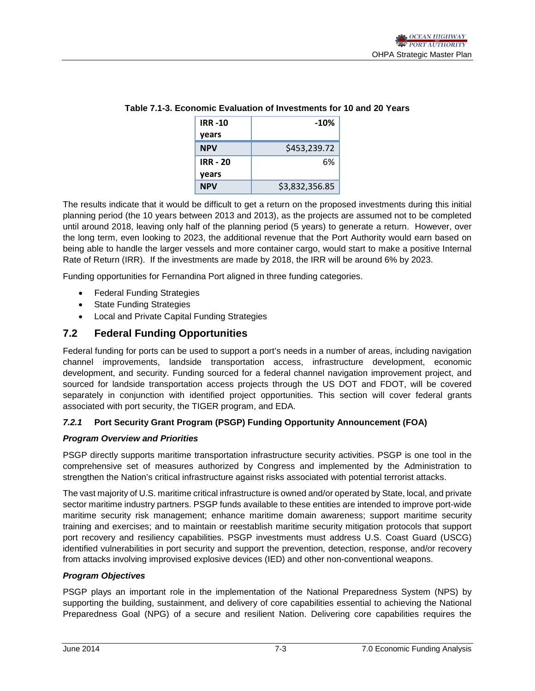| <b>IRR -10</b>  | $-10%$         |
|-----------------|----------------|
| years           |                |
| <b>NPV</b>      | \$453,239.72   |
| <b>IRR - 20</b> | 6%             |
| years           |                |
| <b>NPV</b>      | \$3,832,356.85 |

### **Table 7.1-3. Economic Evaluation of Investments for 10 and 20 Years**

The results indicate that it would be difficult to get a return on the proposed investments during this initial planning period (the 10 years between 2013 and 2013), as the projects are assumed not to be completed until around 2018, leaving only half of the planning period (5 years) to generate a return. However, over the long term, even looking to 2023, the additional revenue that the Port Authority would earn based on being able to handle the larger vessels and more container cargo, would start to make a positive Internal Rate of Return (IRR). If the investments are made by 2018, the IRR will be around 6% by 2023.

Funding opportunities for Fernandina Port aligned in three funding categories.

- Federal Funding Strategies
- State Funding Strategies
- Local and Private Capital Funding Strategies

# **7.2 Federal Funding Opportunities**

Federal funding for ports can be used to support a port's needs in a number of areas, including navigation channel improvements, landside transportation access, infrastructure development, economic development, and security. Funding sourced for a federal channel navigation improvement project, and sourced for landside transportation access projects through the US DOT and FDOT, will be covered separately in conjunction with identified project opportunities. This section will cover federal grants associated with port security, the TIGER program, and EDA.

### *7.2.1* **Port Security Grant Program (PSGP) Funding Opportunity Announcement (FOA)**

### *Program Overview and Priorities*

PSGP directly supports maritime transportation infrastructure security activities. PSGP is one tool in the comprehensive set of measures authorized by Congress and implemented by the Administration to strengthen the Nation's critical infrastructure against risks associated with potential terrorist attacks.

The vast majority of U.S. maritime critical infrastructure is owned and/or operated by State, local, and private sector maritime industry partners. PSGP funds available to these entities are intended to improve port-wide maritime security risk management; enhance maritime domain awareness; support maritime security training and exercises; and to maintain or reestablish maritime security mitigation protocols that support port recovery and resiliency capabilities. PSGP investments must address U.S. Coast Guard (USCG) identified vulnerabilities in port security and support the prevention, detection, response, and/or recovery from attacks involving improvised explosive devices (IED) and other non-conventional weapons.

### *Program Objectives*

PSGP plays an important role in the implementation of the National Preparedness System (NPS) by supporting the building, sustainment, and delivery of core capabilities essential to achieving the National Preparedness Goal (NPG) of a secure and resilient Nation. Delivering core capabilities requires the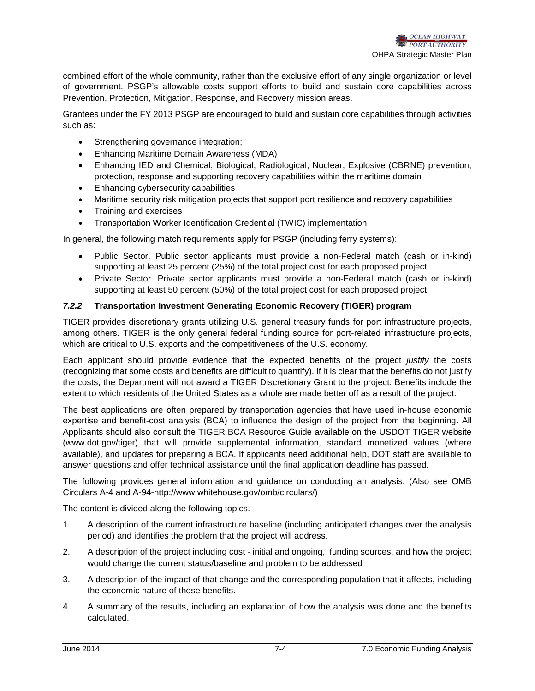combined effort of the whole community, rather than the exclusive effort of any single organization or level of government. PSGP's allowable costs support efforts to build and sustain core capabilities across Prevention, Protection, Mitigation, Response, and Recovery mission areas.

Grantees under the FY 2013 PSGP are encouraged to build and sustain core capabilities through activities such as:

- Strengthening governance integration;
- Enhancing Maritime Domain Awareness (MDA)
- Enhancing IED and Chemical, Biological, Radiological, Nuclear, Explosive (CBRNE) prevention, protection, response and supporting recovery capabilities within the maritime domain
- Enhancing cybersecurity capabilities
- Maritime security risk mitigation projects that support port resilience and recovery capabilities
- Training and exercises
- Transportation Worker Identification Credential (TWIC) implementation

In general, the following match requirements apply for PSGP (including ferry systems):

- Public Sector. Public sector applicants must provide a non-Federal match (cash or in-kind) supporting at least 25 percent (25%) of the total project cost for each proposed project.
- Private Sector. Private sector applicants must provide a non-Federal match (cash or in-kind) supporting at least 50 percent (50%) of the total project cost for each proposed project.

## *7.2.2* **Transportation Investment Generating Economic Recovery (TIGER) program**

TIGER provides discretionary grants utilizing U.S. general treasury funds for port infrastructure projects, among others. TIGER is the only general federal funding source for port-related infrastructure projects, which are critical to U.S. exports and the competitiveness of the U.S. economy.

Each applicant should provide evidence that the expected benefits of the project *justify* the costs (recognizing that some costs and benefits are difficult to quantify). If it is clear that the benefits do not justify the costs, the Department will not award a TIGER Discretionary Grant to the project. Benefits include the extent to which residents of the United States as a whole are made better off as a result of the project.

The best applications are often prepared by transportation agencies that have used in-house economic expertise and benefit-cost analysis (BCA) to influence the design of the project from the beginning. All Applicants should also consult the TIGER BCA Resource Guide available on the USDOT TIGER website (www.dot.gov/tiger) that will provide supplemental information, standard monetized values (where available), and updates for preparing a BCA. If applicants need additional help, DOT staff are available to answer questions and offer technical assistance until the final application deadline has passed.

The following provides general information and guidance on conducting an analysis. (Also see OMB Circulars A-4 and A-94-http://www.whitehouse.gov/omb/circulars/)

The content is divided along the following topics.

- 1. A description of the current infrastructure baseline (including anticipated changes over the analysis period) and identifies the problem that the project will address.
- 2. A description of the project including cost initial and ongoing, funding sources, and how the project would change the current status/baseline and problem to be addressed
- 3. A description of the impact of that change and the corresponding population that it affects, including the economic nature of those benefits.
- 4. A summary of the results, including an explanation of how the analysis was done and the benefits calculated.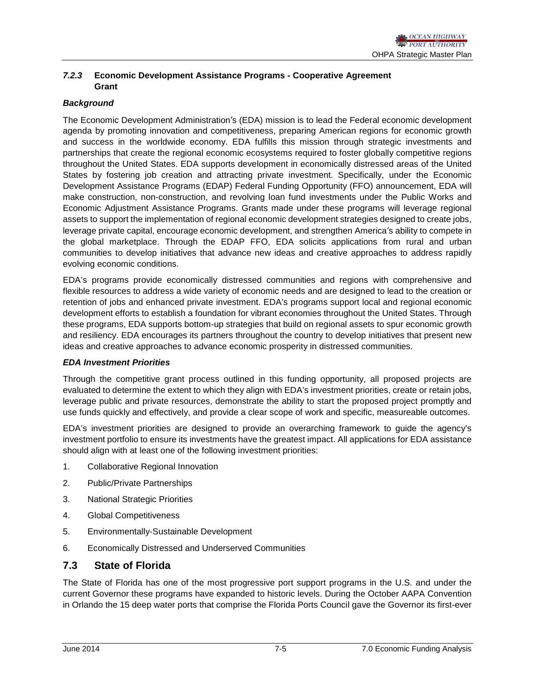## *7.2.3* **Economic Development Assistance Programs - Cooperative Agreement Grant**

# *Background*

The Economic Development Administration's (EDA) mission is to lead the Federal economic development agenda by promoting innovation and competitiveness, preparing American regions for economic growth and success in the worldwide economy. EDA fulfills this mission through strategic investments and partnerships that create the regional economic ecosystems required to foster globally competitive regions throughout the United States. EDA supports development in economically distressed areas of the United States by fostering job creation and attracting private investment. Specifically, under the Economic Development Assistance Programs (EDAP) Federal Funding Opportunity (FFO) announcement, EDA will make construction, non-construction, and revolving loan fund investments under the Public Works and Economic Adjustment Assistance Programs. Grants made under these programs will leverage regional assets to support the implementation of regional economic development strategies designed to create jobs, leverage private capital, encourage economic development, and strengthen America's ability to compete in the global marketplace. Through the EDAP FFO, EDA solicits applications from rural and urban communities to develop initiatives that advance new ideas and creative approaches to address rapidly evolving economic conditions.

EDA's programs provide economically distressed communities and regions with comprehensive and flexible resources to address a wide variety of economic needs and are designed to lead to the creation or retention of jobs and enhanced private investment. EDA's programs support local and regional economic development efforts to establish a foundation for vibrant economies throughout the United States. Through these programs, EDA supports bottom-up strategies that build on regional assets to spur economic growth and resiliency. EDA encourages its partners throughout the country to develop initiatives that present new ideas and creative approaches to advance economic prosperity in distressed communities.

### *EDA Investment Priorities*

Through the competitive grant process outlined in this funding opportunity, all proposed projects are evaluated to determine the extent to which they align with EDA's investment priorities, create or retain jobs, leverage public and private resources, demonstrate the ability to start the proposed project promptly and use funds quickly and effectively, and provide a clear scope of work and specific, measureable outcomes.

EDA's investment priorities are designed to provide an overarching framework to guide the agency's investment portfolio to ensure its investments have the greatest impact. All applications for EDA assistance should align with at least one of the following investment priorities:

- 1. Collaborative Regional Innovation
- 2. Public/Private Partnerships
- 3. National Strategic Priorities
- 4. Global Competitiveness
- 5. Environmentally-Sustainable Development
- 6. Economically Distressed and Underserved Communities

# **7.3 State of Florida**

The State of Florida has one of the most progressive port support programs in the U.S. and under the current Governor these programs have expanded to historic levels. During the October AAPA Convention in Orlando the 15 deep water ports that comprise the Florida Ports Council gave the Governor its first-ever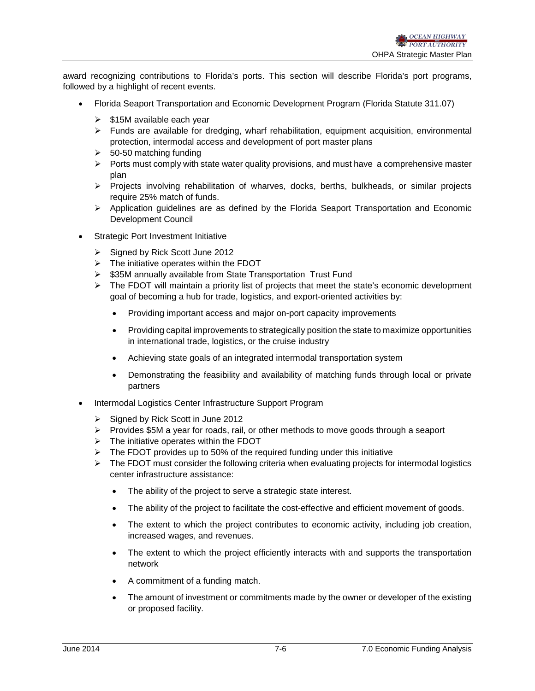award recognizing contributions to Florida's ports. This section will describe Florida's port programs, followed by a highlight of recent events.

- Florida Seaport Transportation and Economic Development Program (Florida Statute 311.07)
	- $\geq$  \$15M available each year
	- $\triangleright$  Funds are available for dredging, wharf rehabilitation, equipment acquisition, environmental protection, intermodal access and development of port master plans
	- $\geq$  50-50 matching funding
	- $\triangleright$  Ports must comply with state water quality provisions, and must have a comprehensive master plan
	- $\triangleright$  Projects involving rehabilitation of wharves, docks, berths, bulkheads, or similar projects require 25% match of funds.
	- Application guidelines are as defined by the Florida Seaport Transportation and Economic Development Council
- Strategic Port Investment Initiative
	- $\triangleright$  Signed by Rick Scott June 2012
	- $\triangleright$  The initiative operates within the FDOT
	- $\geq$  \$35M annually available from State Transportation Trust Fund
	- $\triangleright$  The FDOT will maintain a priority list of projects that meet the state's economic development goal of becoming a hub for trade, logistics, and export-oriented activities by:
		- Providing important access and major on-port capacity improvements
		- Providing capital improvements to strategically position the state to maximize opportunities in international trade, logistics, or the cruise industry
		- Achieving state goals of an integrated intermodal transportation system
		- Demonstrating the feasibility and availability of matching funds through local or private partners
- Intermodal Logistics Center Infrastructure Support Program
	- $\triangleright$  Signed by Rick Scott in June 2012
	- $\triangleright$  Provides \$5M a year for roads, rail, or other methods to move goods through a seaport
	- $\triangleright$  The initiative operates within the FDOT
	- $\triangleright$  The FDOT provides up to 50% of the required funding under this initiative
	- $\triangleright$  The FDOT must consider the following criteria when evaluating projects for intermodal logistics center infrastructure assistance:
		- The ability of the project to serve a strategic state interest.
		- The ability of the project to facilitate the cost-effective and efficient movement of goods.
		- The extent to which the project contributes to economic activity, including job creation, increased wages, and revenues.
		- The extent to which the project efficiently interacts with and supports the transportation network
		- A commitment of a funding match.
		- The amount of investment or commitments made by the owner or developer of the existing or proposed facility.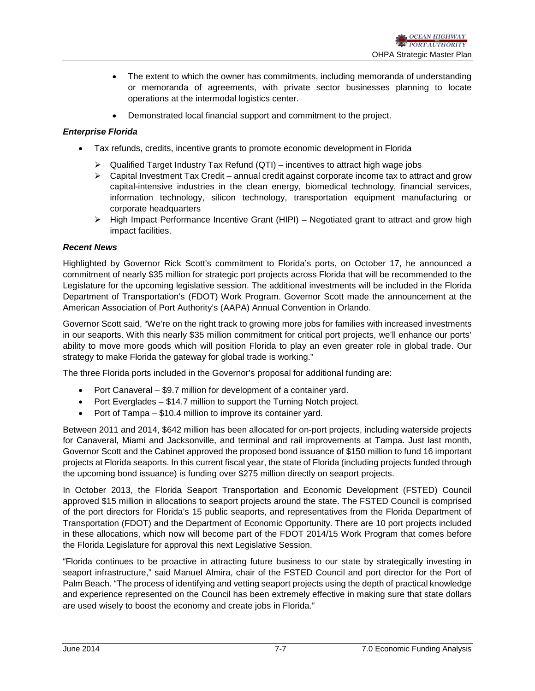- The extent to which the owner has commitments, including memoranda of understanding or memoranda of agreements, with private sector businesses planning to locate operations at the intermodal logistics center.
- Demonstrated local financial support and commitment to the project.

# *Enterprise Florida*

- Tax refunds, credits, incentive grants to promote economic development in Florida
	- $\triangleright$  Qualified Target Industry Tax Refund (QTI) incentives to attract high wage jobs
	- $\triangleright$  Capital Investment Tax Credit annual credit against corporate income tax to attract and grow capital-intensive industries in the clean energy, biomedical technology, financial services, information technology, silicon technology, transportation equipment manufacturing or corporate headquarters
	- $\triangleright$  High Impact Performance Incentive Grant (HIPI) Negotiated grant to attract and grow high impact facilities.

### *Recent News*

Highlighted by Governor Rick Scott's commitment to Florida's ports, on October 17, he announced a commitment of nearly \$35 million for strategic port projects across Florida that will be recommended to the Legislature for the upcoming legislative session. The additional investments will be included in the Florida Department of Transportation's (FDOT) Work Program. Governor Scott made the announcement at the American Association of Port Authority's (AAPA) Annual Convention in Orlando.

Governor Scott said, "We're on the right track to growing more jobs for families with increased investments in our seaports. With this nearly \$35 million commitment for critical port projects, we'll enhance our ports' ability to move more goods which will position Florida to play an even greater role in global trade. Our strategy to make Florida the gateway for global trade is working."

The three Florida ports included in the Governor's proposal for additional funding are:

- Port Canaveral \$9.7 million for development of a container yard.
- Port Everglades \$14.7 million to support the Turning Notch project.
- Port of Tampa \$10.4 million to improve its container yard.

Between 2011 and 2014, \$642 million has been allocated for on-port projects, including waterside projects for Canaveral, Miami and Jacksonville, and terminal and rail improvements at Tampa. Just last month, Governor Scott and the Cabinet approved the proposed bond issuance of \$150 million to fund 16 important projects at Florida seaports. In this current fiscal year, the state of Florida (including projects funded through the upcoming bond issuance) is funding over \$275 million directly on seaport projects.

In October 2013, the Florida Seaport Transportation and Economic Development (FSTED) Council approved \$15 million in allocations to seaport projects around the state. The FSTED Council is comprised of the port directors for Florida's 15 public seaports, and representatives from the Florida Department of Transportation (FDOT) and the Department of Economic Opportunity. There are 10 port projects included in these allocations, which now will become part of the FDOT 2014/15 Work Program that comes before the Florida Legislature for approval this next Legislative Session.

"Florida continues to be proactive in attracting future business to our state by strategically investing in seaport infrastructure," said Manuel Almira, chair of the FSTED Council and port director for the Port of Palm Beach. "The process of identifying and vetting seaport projects using the depth of practical knowledge and experience represented on the Council has been extremely effective in making sure that state dollars are used wisely to boost the economy and create jobs in Florida."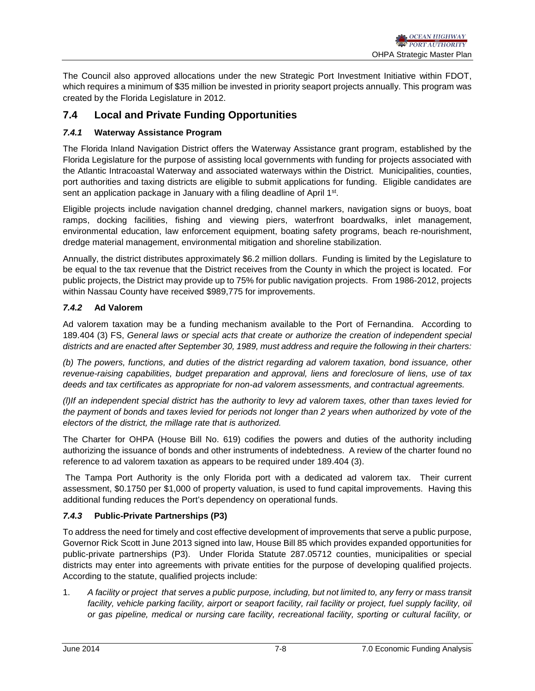The Council also approved allocations under the new Strategic Port Investment Initiative within FDOT, which requires a minimum of \$35 million be invested in priority seaport projects annually. This program was created by the Florida Legislature in 2012.

# **7.4 Local and Private Funding Opportunities**

# *7.4.1* **Waterway Assistance Program**

The Florida Inland Navigation District offers the Waterway Assistance grant program, established by the Florida Legislature for the purpose of assisting local governments with funding for projects associated with the Atlantic Intracoastal Waterway and associated waterways within the District. Municipalities, counties, port authorities and taxing districts are eligible to submit applications for funding. Eligible candidates are sent an application package in January with a filing deadline of April 1<sup>st</sup>.

Eligible projects include navigation channel dredging, channel markers, navigation signs or buoys, boat ramps, docking facilities, fishing and viewing piers, waterfront boardwalks, inlet management, environmental education, law enforcement equipment, boating safety programs, beach re-nourishment, dredge material management, environmental mitigation and shoreline stabilization.

Annually, the district distributes approximately \$6.2 million dollars. Funding is limited by the Legislature to be equal to the tax revenue that the District receives from the County in which the project is located. For public projects, the District may provide up to 75% for public navigation projects. From 1986-2012, projects within Nassau County have received \$989,775 for improvements.

## *7.4.2* **Ad Valorem**

Ad valorem taxation may be a funding mechanism available to the Port of Fernandina. According to 189.404 (3) FS, *General laws or special acts that create or authorize the creation of independent special districts and are enacted after September 30, 1989, must address and require the following in their charters:*

*(b) The powers, functions, and duties of the district regarding ad valorem taxation, bond issuance, other revenue-raising capabilities, budget preparation and approval, liens and foreclosure of liens, use of tax deeds and tax certificates as appropriate for non-ad valorem assessments, and contractual agreements.*

*(l)If an independent special district has the authority to levy ad valorem taxes, other than taxes levied for the payment of bonds and taxes levied for periods not longer than 2 years when authorized by vote of the electors of the district, the millage rate that is authorized.*

The Charter for OHPA (House Bill No. 619) codifies the powers and duties of the authority including authorizing the issuance of bonds and other instruments of indebtedness. A review of the charter found no reference to ad valorem taxation as appears to be required under 189.404 (3).

The Tampa Port Authority is the only Florida port with a dedicated ad valorem tax. Their current assessment, \$0.1750 per \$1,000 of property valuation, is used to fund capital improvements. Having this additional funding reduces the Port's dependency on operational funds.

### *7.4.3* **Public-Private Partnerships (P3)**

To address the need for timely and cost effective development of improvements that serve a public purpose, Governor Rick Scott in June 2013 signed into law, House Bill 85 which provides expanded opportunities for public-private partnerships (P3). Under Florida Statute 287.05712 counties, municipalities or special districts may enter into agreements with private entities for the purpose of developing qualified projects. According to the statute, qualified projects include:

1. *A facility or project that serves a public purpose, including, but not limited to, any ferry or mass transit*  facility, vehicle parking facility, airport or seaport facility, rail facility or project, fuel supply facility, oil *or gas pipeline, medical or nursing care facility, recreational facility, sporting or cultural facility, or*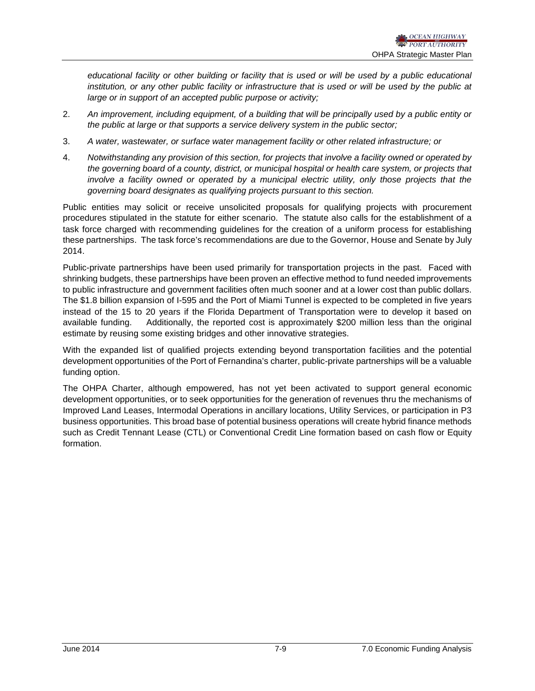*educational facility or other building or facility that is used or will be used by a public educational*  institution, or any other public facility or infrastructure that is used or will be used by the public at *large or in support of an accepted public purpose or activity;*

- 2. *An improvement, including equipment, of a building that will be principally used by a public entity or the public at large or that supports a service delivery system in the public sector;*
- 3. *A water, wastewater, or surface water management facility or other related infrastructure; or*
- 4. *Notwithstanding any provision of this section, for projects that involve a facility owned or operated by the governing board of a county, district, or municipal hospital or health care system, or projects that involve a facility owned or operated by a municipal electric utility, only those projects that the governing board designates as qualifying projects pursuant to this section.*

Public entities may solicit or receive unsolicited proposals for qualifying projects with procurement procedures stipulated in the statute for either scenario. The statute also calls for the establishment of a task force charged with recommending guidelines for the creation of a uniform process for establishing these partnerships. The task force's recommendations are due to the Governor, House and Senate by July 2014.

Public-private partnerships have been used primarily for transportation projects in the past. Faced with shrinking budgets, these partnerships have been proven an effective method to fund needed improvements to public infrastructure and government facilities often much sooner and at a lower cost than public dollars. The \$1.8 billion expansion of I-595 and the Port of Miami Tunnel is expected to be completed in five years instead of the 15 to 20 years if the Florida Department of Transportation were to develop it based on available funding. Additionally, the reported cost is approximately \$200 million less than the original estimate by reusing some existing bridges and other innovative strategies.

With the expanded list of qualified projects extending beyond transportation facilities and the potential development opportunities of the Port of Fernandina's charter, public-private partnerships will be a valuable funding option.

The OHPA Charter, although empowered, has not yet been activated to support general economic development opportunities, or to seek opportunities for the generation of revenues thru the mechanisms of Improved Land Leases, Intermodal Operations in ancillary locations, Utility Services, or participation in P3 business opportunities. This broad base of potential business operations will create hybrid finance methods such as Credit Tennant Lease (CTL) or Conventional Credit Line formation based on cash flow or Equity formation.